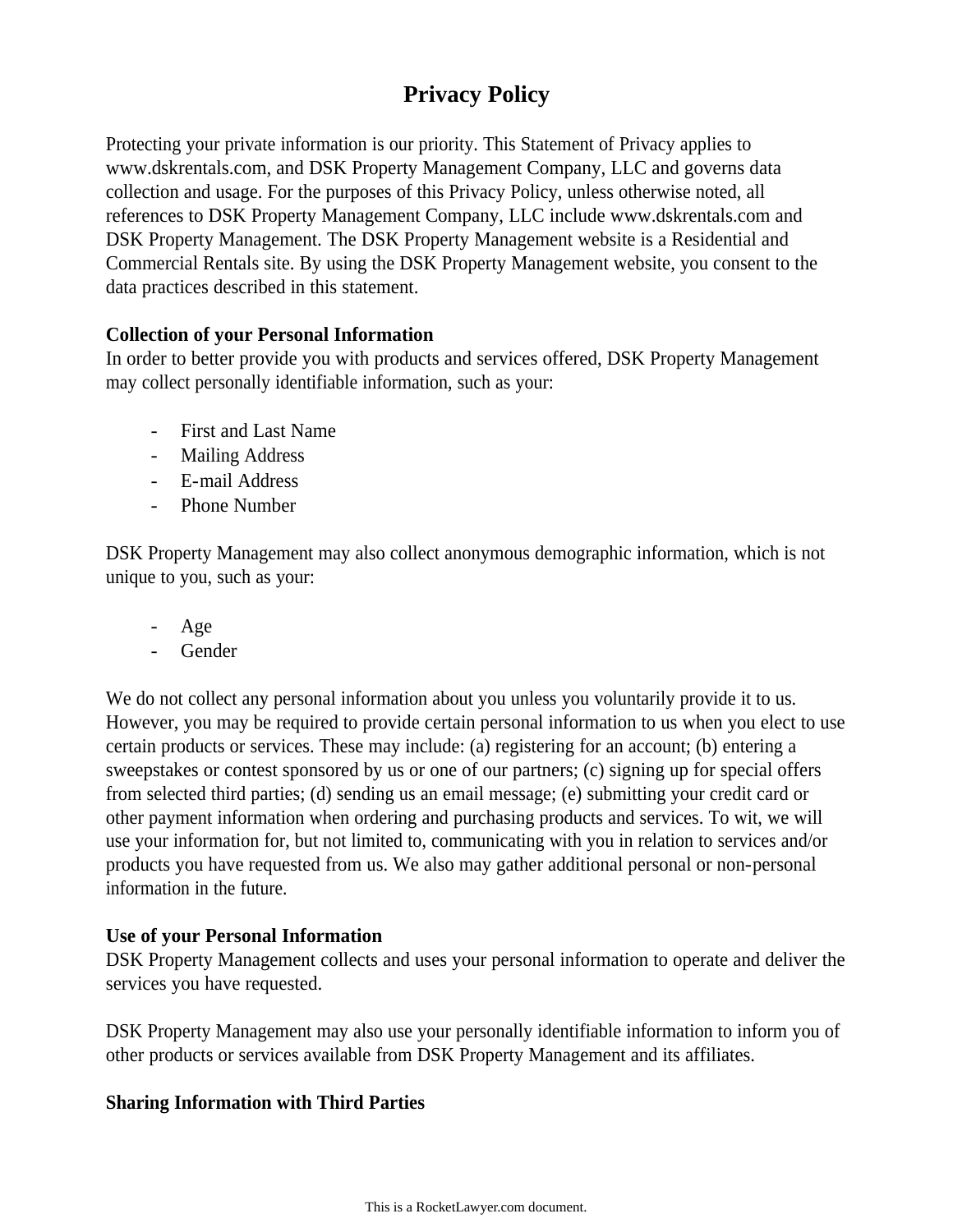# **Privacy Policy**

Protecting your private information is our priority. This Statement of Privacy applies to www.dskrentals.com, and DSK Property Management Company, LLC and governs data collection and usage. For the purposes of this Privacy Policy, unless otherwise noted, all references to DSK Property Management Company, LLC include www.dskrentals.com and DSK Property Management. The DSK Property Management website is a Residential and Commercial Rentals site. By using the DSK Property Management website, you consent to the data practices described in this statement.

### **Collection of your Personal Information**

In order to better provide you with products and services offered, DSK Property Management may collect personally identifiable information, such as your:

- First and Last Name
- Mailing Address
- E-mail Address
- Phone Number

DSK Property Management may also collect anonymous demographic information, which is not unique to you, such as your:

- Age
- Gender

We do not collect any personal information about you unless you voluntarily provide it to us. However, you may be required to provide certain personal information to us when you elect to use certain products or services. These may include: (a) registering for an account; (b) entering a sweepstakes or contest sponsored by us or one of our partners; (c) signing up for special offers from selected third parties; (d) sending us an email message; (e) submitting your credit card or other payment information when ordering and purchasing products and services. To wit, we will use your information for, but not limited to, communicating with you in relation to services and/or products you have requested from us. We also may gather additional personal or non-personal information in the future.

### **Use of your Personal Information**

DSK Property Management collects and uses your personal information to operate and deliver the services you have requested.

DSK Property Management may also use your personally identifiable information to inform you of other products or services available from DSK Property Management and its affiliates.

### **Sharing Information with Third Parties**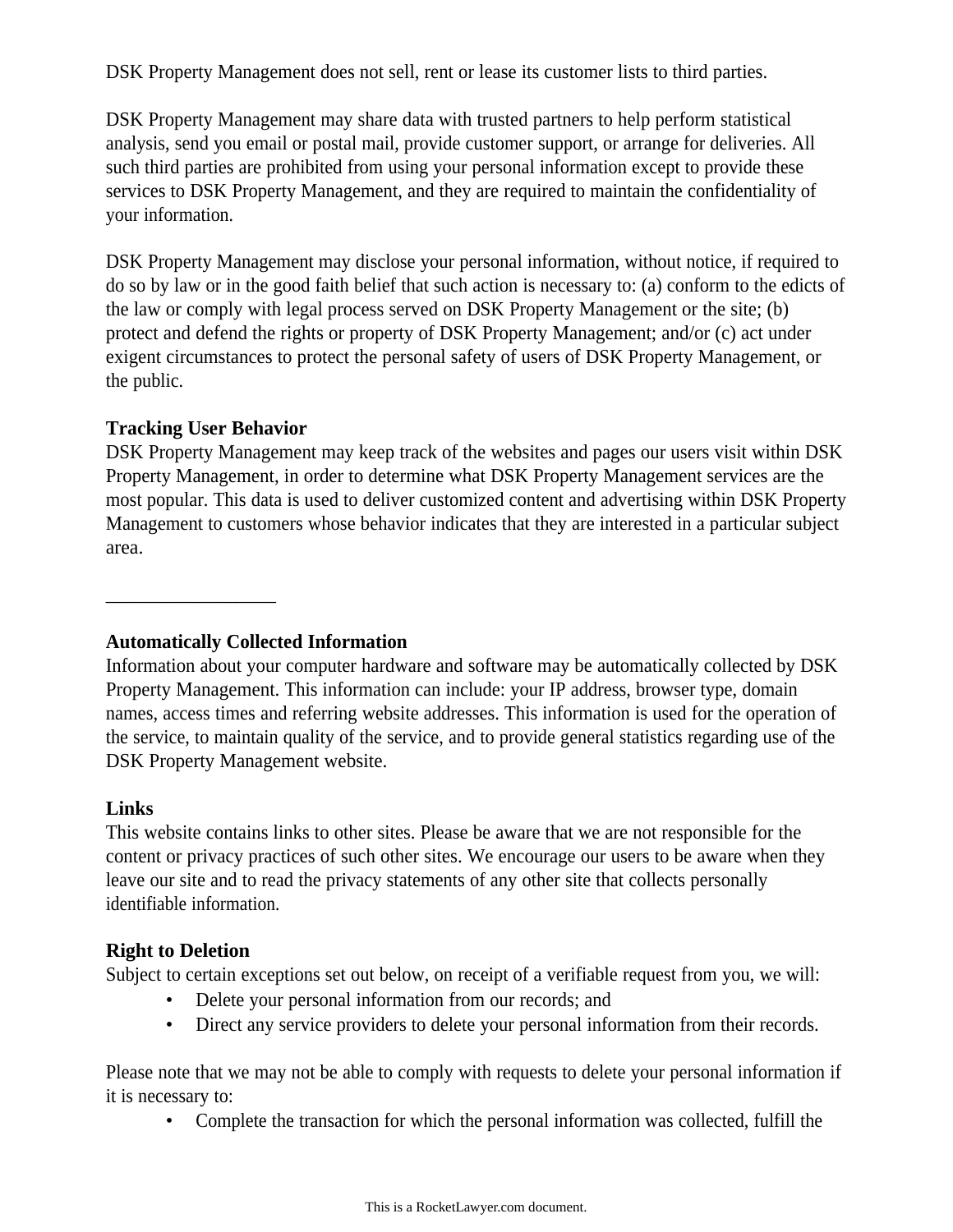DSK Property Management does not sell, rent or lease its customer lists to third parties.

DSK Property Management may share data with trusted partners to help perform statistical analysis, send you email or postal mail, provide customer support, or arrange for deliveries. All such third parties are prohibited from using your personal information except to provide these services to DSK Property Management, and they are required to maintain the confidentiality of your information.

DSK Property Management may disclose your personal information, without notice, if required to do so by law or in the good faith belief that such action is necessary to: (a) conform to the edicts of the law or comply with legal process served on DSK Property Management or the site; (b) protect and defend the rights or property of DSK Property Management; and/or (c) act under exigent circumstances to protect the personal safety of users of DSK Property Management, or the public.

#### **Tracking User Behavior**

 $\overline{\phantom{a}}$  , where  $\overline{\phantom{a}}$ 

DSK Property Management may keep track of the websites and pages our users visit within DSK Property Management, in order to determine what DSK Property Management services are the most popular. This data is used to deliver customized content and advertising within DSK Property Management to customers whose behavior indicates that they are interested in a particular subject area.

### **Automatically Collected Information**

Information about your computer hardware and software may be automatically collected by DSK Property Management. This information can include: your IP address, browser type, domain names, access times and referring website addresses. This information is used for the operation of the service, to maintain quality of the service, and to provide general statistics regarding use of the DSK Property Management website.

#### **Links**

This website contains links to other sites. Please be aware that we are not responsible for the content or privacy practices of such other sites. We encourage our users to be aware when they leave our site and to read the privacy statements of any other site that collects personally identifiable information.

### **Right to Deletion**

Subject to certain exceptions set out below, on receipt of a verifiable request from you, we will:

- Delete your personal information from our records; and
- Direct any service providers to delete your personal information from their records.

Please note that we may not be able to comply with requests to delete your personal information if it is necessary to:

• Complete the transaction for which the personal information was collected, fulfill the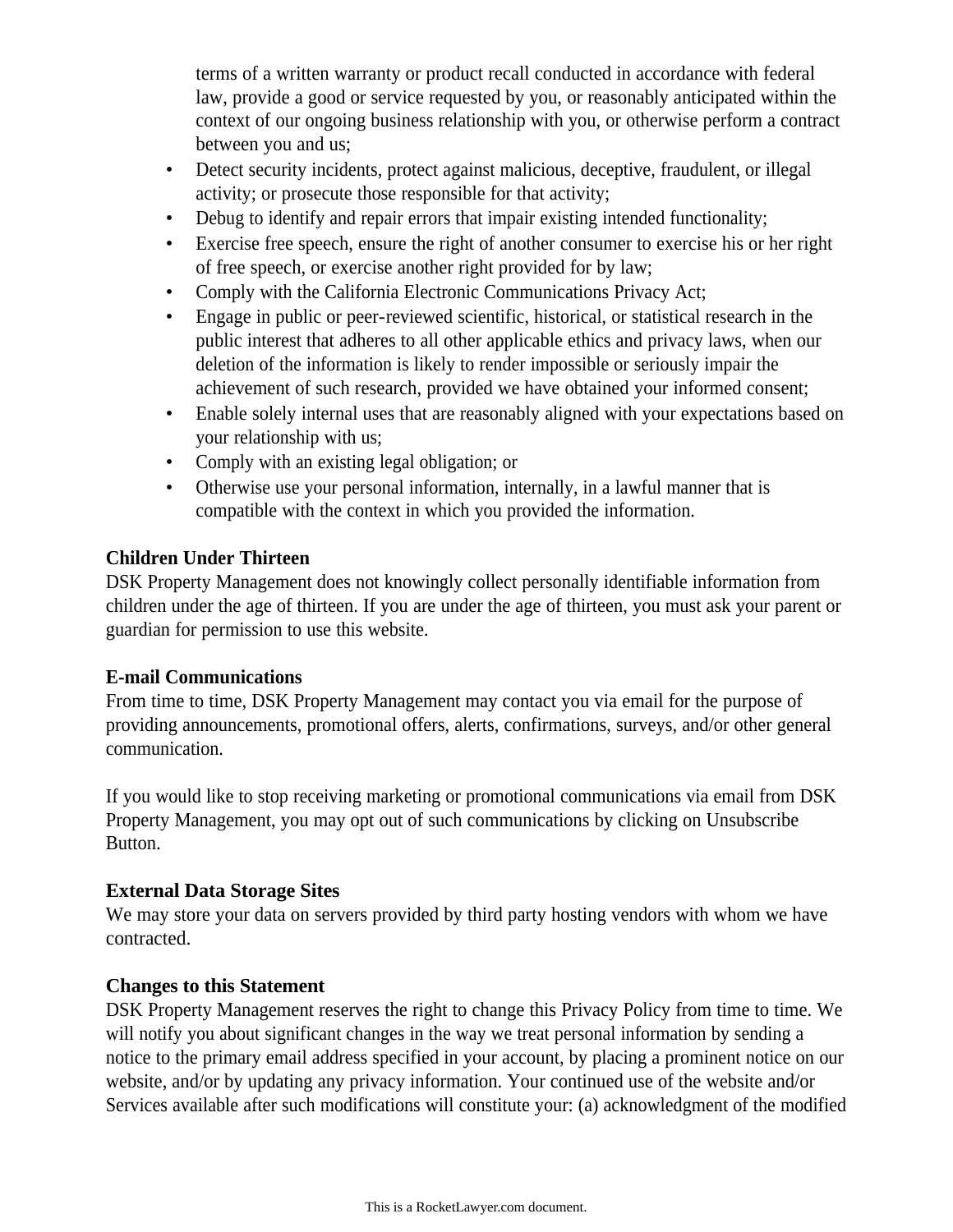terms of a written warranty or product recall conducted in accordance with federal law, provide a good or service requested by you, or reasonably anticipated within the context of our ongoing business relationship with you, or otherwise perform a contract between you and us;

- Detect security incidents, protect against malicious, deceptive, fraudulent, or illegal activity; or prosecute those responsible for that activity;
- Debug to identify and repair errors that impair existing intended functionality;
- Exercise free speech, ensure the right of another consumer to exercise his or her right of free speech, or exercise another right provided for by law;
- Comply with the California Electronic Communications Privacy Act;
- Engage in public or peer-reviewed scientific, historical, or statistical research in the public interest that adheres to all other applicable ethics and privacy laws, when our deletion of the information is likely to render impossible or seriously impair the achievement of such research, provided we have obtained your informed consent;
- Enable solely internal uses that are reasonably aligned with your expectations based on your relationship with us;
- Comply with an existing legal obligation; or
- Otherwise use your personal information, internally, in a lawful manner that is compatible with the context in which you provided the information.

# **Children Under Thirteen**

DSK Property Management does not knowingly collect personally identifiable information from children under the age of thirteen. If you are under the age of thirteen, you must ask your parent or guardian for permission to use this website.

## **E-mail Communications**

From time to time, DSK Property Management may contact you via email for the purpose of providing announcements, promotional offers, alerts, confirmations, surveys, and/or other general communication.

If you would like to stop receiving marketing or promotional communications via email from DSK Property Management, you may opt out of such communications by clicking on Unsubscribe Button.

# **External Data Storage Sites**

We may store your data on servers provided by third party hosting vendors with whom we have contracted.

## **Changes to this Statement**

DSK Property Management reserves the right to change this Privacy Policy from time to time. We will notify you about significant changes in the way we treat personal information by sending a notice to the primary email address specified in your account, by placing a prominent notice on our website, and/or by updating any privacy information. Your continued use of the website and/or Services available after such modifications will constitute your: (a) acknowledgment of the modified